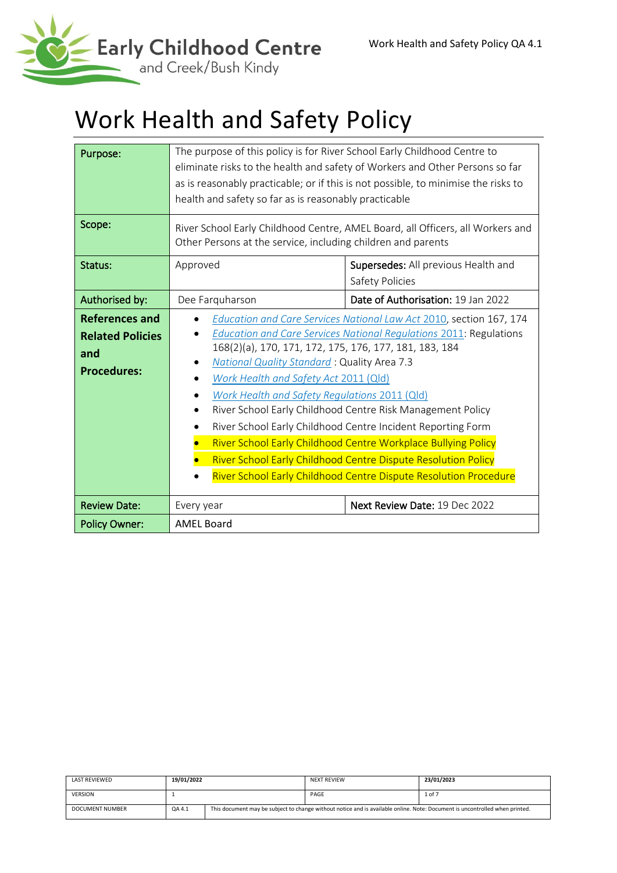

# Work Health and Safety Policy

| Purpose:<br>Scope:                                                     | The purpose of this policy is for River School Early Childhood Centre to<br>eliminate risks to the health and safety of Workers and Other Persons so far<br>as is reasonably practicable; or if this is not possible, to minimise the risks to<br>health and safety so far as is reasonably practicable<br>River School Early Childhood Centre, AMEL Board, all Officers, all Workers and<br>Other Persons at the service, including children and parents                                                                                                                                                                                                                              |                                    |  |
|------------------------------------------------------------------------|----------------------------------------------------------------------------------------------------------------------------------------------------------------------------------------------------------------------------------------------------------------------------------------------------------------------------------------------------------------------------------------------------------------------------------------------------------------------------------------------------------------------------------------------------------------------------------------------------------------------------------------------------------------------------------------|------------------------------------|--|
| Status:                                                                | Supersedes: All previous Health and<br>Approved<br>Safety Policies                                                                                                                                                                                                                                                                                                                                                                                                                                                                                                                                                                                                                     |                                    |  |
| Authorised by:                                                         | Dee Farquharson                                                                                                                                                                                                                                                                                                                                                                                                                                                                                                                                                                                                                                                                        | Date of Authorisation: 19 Jan 2022 |  |
| References and<br><b>Related Policies</b><br>and<br><b>Procedures:</b> | Education and Care Services National Law Act 2010, section 167, 174<br>Education and Care Services National Regulations 2011: Regulations<br>168(2)(a), 170, 171, 172, 175, 176, 177, 181, 183, 184<br><b>National Quality Standard: Quality Area 7.3</b><br>Work Health and Safety Act 2011 (Qld)<br>Work Health and Safety Regulations 2011 (Qld)<br>River School Early Childhood Centre Risk Management Policy<br>River School Early Childhood Centre Incident Reporting Form<br>River School Early Childhood Centre Workplace Bullying Policy<br>River School Early Childhood Centre Dispute Resolution Policy<br>River School Early Childhood Centre Dispute Resolution Procedure |                                    |  |
| <b>Review Date:</b>                                                    | Every year                                                                                                                                                                                                                                                                                                                                                                                                                                                                                                                                                                                                                                                                             | Next Review Date: 19 Dec 2022      |  |
| <b>Policy Owner:</b>                                                   | <b>AMEL Board</b>                                                                                                                                                                                                                                                                                                                                                                                                                                                                                                                                                                                                                                                                      |                                    |  |

| LAST REVIEWED   | 19/01/2022 |                                                                                                                             | <b>NEXT REVIEW</b> | 23/01/2023 |
|-----------------|------------|-----------------------------------------------------------------------------------------------------------------------------|--------------------|------------|
| <b>VERSION</b>  |            |                                                                                                                             | PAGE               | $1$ of $7$ |
| DOCUMENT NUMBER | QA 4.1     | This document may be subject to change without notice and is available online. Note: Document is uncontrolled when printed. |                    |            |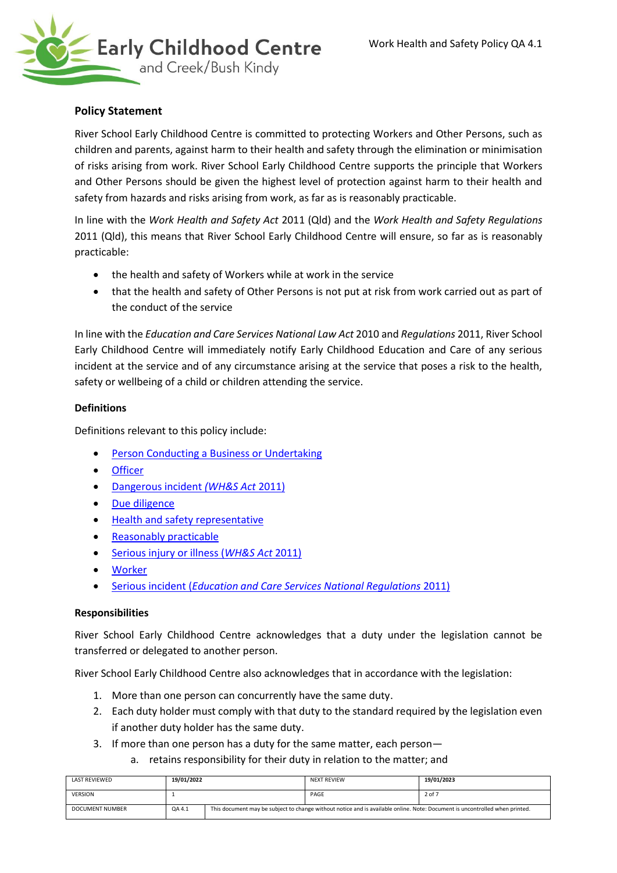

# **Policy Statement**

River School Early Childhood Centre is committed to protecting Workers and Other Persons, such as children and parents, against harm to their health and safety through the elimination or minimisation of risks arising from work. River School Early Childhood Centre supports the principle that Workers and Other Persons should be given the highest level of protection against harm to their health and safety from hazards and risks arising from work, as far as is reasonably practicable.

In line with the *Work Health and Safety Act* 2011 (Qld) and the *Work Health and Safety Regulations* 2011 (Qld), this means that River School Early Childhood Centre will ensure, so far as is reasonably practicable:

- the health and safety of Workers while at work in the service
- that the health and safety of Other Persons is not put at risk from work carried out as part of the conduct of the service

In line with the *Education and Care Services National Law Act* 2010 and *Regulations* 2011, River School Early Childhood Centre will immediately notify Early Childhood Education and Care of any serious incident at the service and of any circumstance arising at the service that poses a risk to the health, safety or wellbeing of a child or children attending the service.

# **Definitions**

Definitions relevant to this policy include:

- [Person Conducting a Business or Undertaking](https://www.worksafe.qld.gov.au/about/help/glossary)
- [Officer](https://www.worksafe.qld.gov.au/about/help/glossary)
- [Dangerous incident](https://www.worksafe.qld.gov.au/__data/assets/pdf_file/0023/22289/guide-to-work-health-and-safety-act-2011.pdf) *(WH&S Act* 2011)
- [Due diligence](https://www.worksafe.qld.gov.au/about/help/glossary)
- [Health and safety representative](https://www.worksafe.qld.gov.au/about/help/glossary#H)
- [Reasonably practicable](https://www.worksafe.qld.gov.au/about/help/glossary#R)
- [Serious injury or illness \(](https://www.worksafe.qld.gov.au/__data/assets/pdf_file/0023/22289/guide-to-work-health-and-safety-act-2011.pdf)*WH&S Act* 2011)
- **[Worker](https://www.worksafe.qld.gov.au/about/help/glossary#W)**
- Serious incident (*[Education and Care Services National Regulations](https://legislation.nsw.gov.au/view/html/inforce/current/sl-2011-0653#sec.12)* 2011)

# **Responsibilities**

River School Early Childhood Centre acknowledges that a duty under the legislation cannot be transferred or delegated to another person.

River School Early Childhood Centre also acknowledges that in accordance with the legislation:

- 1. More than one person can concurrently have the same duty.
- 2. Each duty holder must comply with that duty to the standard required by the legislation even if another duty holder has the same duty.
- 3. If more than one person has a duty for the same matter, each person
	- a. retains responsibility for their duty in relation to the matter; and

| LAST REVIEWED          | 19/01/2022 |                                                                                                                             | <b>NEXT REVIEW</b> | 19/01/2023 |
|------------------------|------------|-----------------------------------------------------------------------------------------------------------------------------|--------------------|------------|
| <b>VERSION</b>         |            |                                                                                                                             | PAGE               | 2 of 7     |
| <b>DOCUMENT NUMBER</b> | QA 4.1     | This document may be subject to change without notice and is available online. Note: Document is uncontrolled when printed. |                    |            |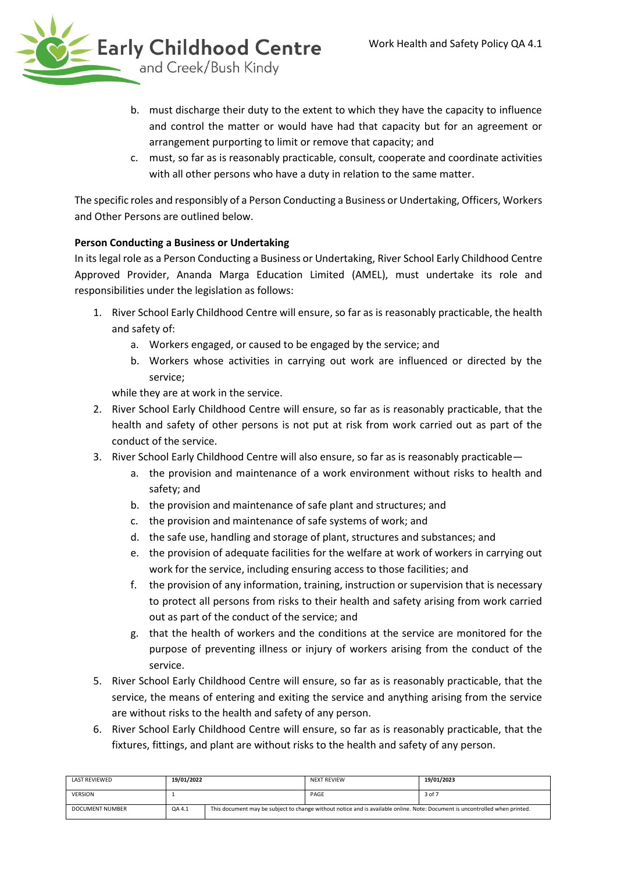

- b. must discharge their duty to the extent to which they have the capacity to influence and control the matter or would have had that capacity but for an agreement or arrangement purporting to limit or remove that capacity; and
- c. must, so far as is reasonably practicable, consult, cooperate and coordinate activities with all other persons who have a duty in relation to the same matter.

The specific roles and responsibly of a Person Conducting a Business or Undertaking, Officers, Workers and Other Persons are outlined below.

# **Person Conducting a Business or Undertaking**

In its legal role as a Person Conducting a Business or Undertaking, River School Early Childhood Centre Approved Provider, Ananda Marga Education Limited (AMEL), must undertake its role and responsibilities under the legislation as follows:

- 1. River School Early Childhood Centre will ensure, so far as is reasonably practicable, the health and safety of:
	- a. Workers engaged, or caused to be engaged by the service; and
	- b. Workers whose activities in carrying out work are influenced or directed by the service;

while they are at work in the service.

- 2. River School Early Childhood Centre will ensure, so far as is reasonably practicable, that the health and safety of other persons is not put at risk from work carried out as part of the conduct of the service.
- 3. River School Early Childhood Centre will also ensure, so far as is reasonably practicable
	- a. the provision and maintenance of a work environment without risks to health and safety; and
	- b. the provision and maintenance of safe plant and structures; and
	- c. the provision and maintenance of safe systems of work; and
	- d. the safe use, handling and storage of plant, structures and substances; and
	- e. the provision of adequate facilities for the welfare at work of workers in carrying out work for the service, including ensuring access to those facilities; and
	- f. the provision of any information, training, instruction or supervision that is necessary to protect all persons from risks to their health and safety arising from work carried out as part of the conduct of the service; and
	- g. that the health of workers and the conditions at the service are monitored for the purpose of preventing illness or injury of workers arising from the conduct of the service.
- 5. River School Early Childhood Centre will ensure, so far as is reasonably practicable, that the service, the means of entering and exiting the service and anything arising from the service are without risks to the health and safety of any person.
- 6. River School Early Childhood Centre will ensure, so far as is reasonably practicable, that the fixtures, fittings, and plant are without risks to the health and safety of any person.

| LAST REVIEWED          | 19/01/2022 |                                                                                                                             | <b>NEXT REVIEW</b> | 19/01/2023 |
|------------------------|------------|-----------------------------------------------------------------------------------------------------------------------------|--------------------|------------|
| <b>VERSION</b>         |            |                                                                                                                             | PAGE               | 3 of 7     |
| <b>DOCUMENT NUMBER</b> | QA 4.1     | This document may be subject to change without notice and is available online. Note: Document is uncontrolled when printed. |                    |            |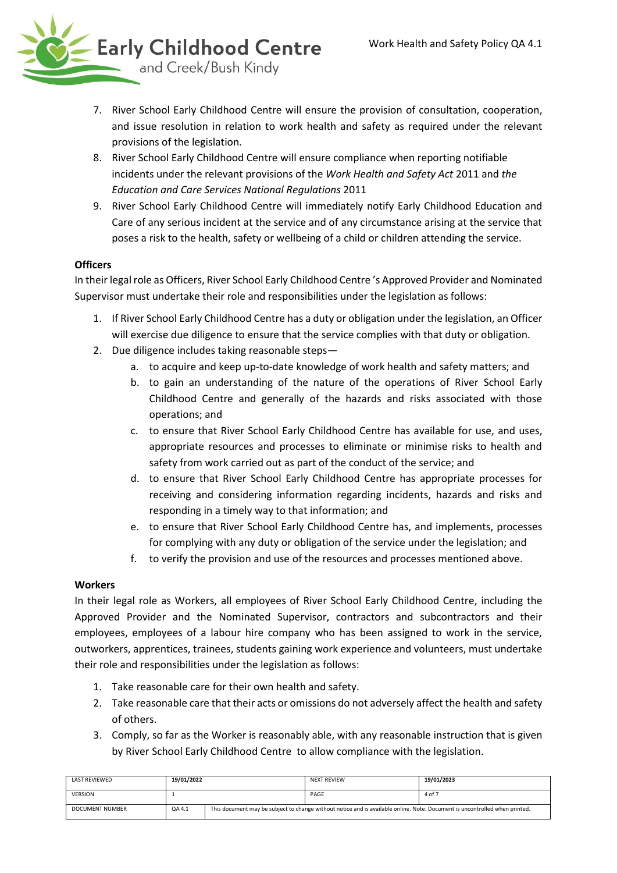

- 7. River School Early Childhood Centre will ensure the provision of consultation, cooperation, and issue resolution in relation to work health and safety as required under the relevant provisions of the legislation.
- 8. River School Early Childhood Centre will ensure compliance when reporting notifiable incidents under the relevant provisions of the *Work Health and Safety Act* 2011 and *the Education and Care Services National Regulations* 2011
- 9. River School Early Childhood Centre will immediately notify Early Childhood Education and Care of any serious incident at the service and of any circumstance arising at the service that poses a risk to the health, safety or wellbeing of a child or children attending the service.

# **Officers**

In their legal role as Officers, River School Early Childhood Centre 's Approved Provider and Nominated Supervisor must undertake their role and responsibilities under the legislation as follows:

- 1. If River School Early Childhood Centre has a duty or obligation under the legislation, an Officer will exercise due diligence to ensure that the service complies with that duty or obligation.
- 2. Due diligence includes taking reasonable steps
	- a. to acquire and keep up-to-date knowledge of work health and safety matters; and
	- b. to gain an understanding of the nature of the operations of River School Early Childhood Centre and generally of the hazards and risks associated with those operations; and
	- c. to ensure that River School Early Childhood Centre has available for use, and uses, appropriate resources and processes to eliminate or minimise risks to health and safety from work carried out as part of the conduct of the service; and
	- d. to ensure that River School Early Childhood Centre has appropriate processes for receiving and considering information regarding incidents, hazards and risks and responding in a timely way to that information; and
	- e. to ensure that River School Early Childhood Centre has, and implements, processes for complying with any duty or obligation of the service under the legislation; and
	- f. to verify the provision and use of the resources and processes mentioned above.

# **Workers**

In their legal role as Workers, all employees of River School Early Childhood Centre, including the Approved Provider and the Nominated Supervisor, contractors and subcontractors and their employees, employees of a labour hire company who has been assigned to work in the service, outworkers, apprentices, trainees, students gaining work experience and volunteers, must undertake their role and responsibilities under the legislation as follows:

- 1. Take reasonable care for their own health and safety.
- 2. Take reasonable care that their acts or omissions do not adversely affect the health and safety of others.
- 3. Comply, so far as the Worker is reasonably able, with any reasonable instruction that is given by River School Early Childhood Centre to allow compliance with the legislation.

| <b>LAST REVIEWED</b> | 19/01/2022 |                                                                                                                             | <b>NEXT REVIEW</b> | 19/01/2023 |
|----------------------|------------|-----------------------------------------------------------------------------------------------------------------------------|--------------------|------------|
| <b>VERSION</b>       |            |                                                                                                                             | PAGE               | 4 of 7     |
| DOCUMENT NUMBER      | QA 4.1     | This document may be subject to change without notice and is available online. Note: Document is uncontrolled when printed. |                    |            |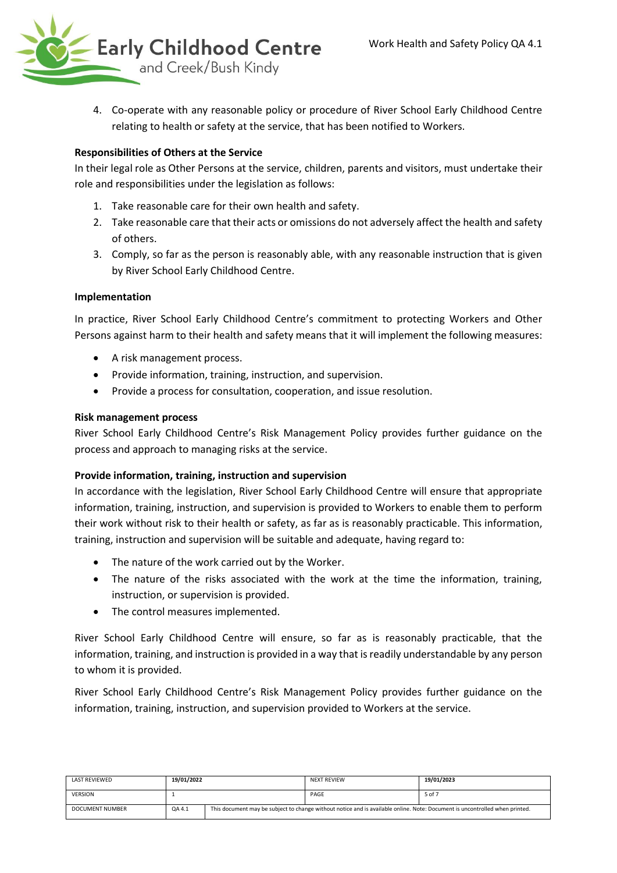

4. Co-operate with any reasonable policy or procedure of River School Early Childhood Centre relating to health or safety at the service, that has been notified to Workers.

# **Responsibilities of Others at the Service**

In their legal role as Other Persons at the service, children, parents and visitors, must undertake their role and responsibilities under the legislation as follows:

- 1. Take reasonable care for their own health and safety.
- 2. Take reasonable care that their acts or omissions do not adversely affect the health and safety of others.
- 3. Comply, so far as the person is reasonably able, with any reasonable instruction that is given by River School Early Childhood Centre.

# **Implementation**

In practice, River School Early Childhood Centre's commitment to protecting Workers and Other Persons against harm to their health and safety means that it will implement the following measures:

- A risk management process.
- Provide information, training, instruction, and supervision.
- Provide a process for consultation, cooperation, and issue resolution.

#### **Risk management process**

River School Early Childhood Centre's Risk Management Policy provides further guidance on the process and approach to managing risks at the service.

# **Provide information, training, instruction and supervision**

In accordance with the legislation, River School Early Childhood Centre will ensure that appropriate information, training, instruction, and supervision is provided to Workers to enable them to perform their work without risk to their health or safety, as far as is reasonably practicable. This information, training, instruction and supervision will be suitable and adequate, having regard to:

- The nature of the work carried out by the Worker.
- The nature of the risks associated with the work at the time the information, training, instruction, or supervision is provided.
- The control measures implemented.

River School Early Childhood Centre will ensure, so far as is reasonably practicable, that the information, training, and instruction is provided in a way that is readily understandable by any person to whom it is provided.

River School Early Childhood Centre's Risk Management Policy provides further guidance on the information, training, instruction, and supervision provided to Workers at the service.

| <b>LAST REVIEWED</b>   | 19/01/2022 |                                                                                                                             | <b>NEXT REVIEW</b> | 19/01/2023 |
|------------------------|------------|-----------------------------------------------------------------------------------------------------------------------------|--------------------|------------|
| <b>VERSION</b>         |            |                                                                                                                             | PAGE               | 5 of 7     |
| <b>DOCUMENT NUMBER</b> | QA 4.1     | This document may be subject to change without notice and is available online. Note: Document is uncontrolled when printed. |                    |            |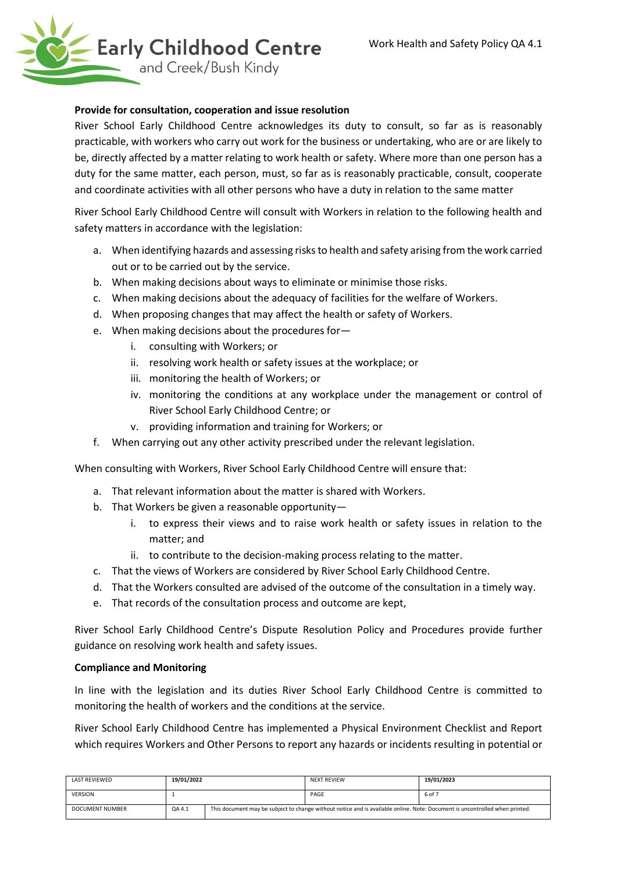

#### **Provide for consultation, cooperation and issue resolution**

River School Early Childhood Centre acknowledges its duty to consult, so far as is reasonably practicable, with workers who carry out work for the business or undertaking, who are or are likely to be, directly affected by a matter relating to work health or safety. Where more than one person has a duty for the same matter, each person, must, so far as is reasonably practicable, consult, cooperate and coordinate activities with all other persons who have a duty in relation to the same matter

River School Early Childhood Centre will consult with Workers in relation to the following health and safety matters in accordance with the legislation:

- a. When identifying hazards and assessing risks to health and safety arising from the work carried out or to be carried out by the service.
- b. When making decisions about ways to eliminate or minimise those risks.
- c. When making decisions about the adequacy of facilities for the welfare of Workers.
- d. When proposing changes that may affect the health or safety of Workers.
- e. When making decisions about the procedures for
	- i. consulting with Workers; or
	- ii. resolving work health or safety issues at the workplace; or
	- iii. monitoring the health of Workers; or
	- iv. monitoring the conditions at any workplace under the management or control of River School Early Childhood Centre; or
	- v. providing information and training for Workers; or
- f. When carrying out any other activity prescribed under the relevant legislation.

When consulting with Workers, River School Early Childhood Centre will ensure that:

- a. That relevant information about the matter is shared with Workers.
- b. That Workers be given a reasonable opportunity
	- i. to express their views and to raise work health or safety issues in relation to the matter; and
	- ii. to contribute to the decision-making process relating to the matter.
- c. That the views of Workers are considered by River School Early Childhood Centre.
- d. That the Workers consulted are advised of the outcome of the consultation in a timely way.
- e. That records of the consultation process and outcome are kept,

River School Early Childhood Centre's Dispute Resolution Policy and Procedures provide further guidance on resolving work health and safety issues.

#### **Compliance and Monitoring**

In line with the legislation and its duties River School Early Childhood Centre is committed to monitoring the health of workers and the conditions at the service.

River School Early Childhood Centre has implemented a Physical Environment Checklist and Report which requires Workers and Other Persons to report any hazards or incidents resulting in potential or

| <b>LAST REVIEWED</b>   | 19/01/2022 |                                                                                                                             | <b>NEXT REVIEW</b> | 19/01/2023 |
|------------------------|------------|-----------------------------------------------------------------------------------------------------------------------------|--------------------|------------|
| <b>VERSION</b>         |            |                                                                                                                             | PAGE               | 6 of 7     |
| <b>DOCUMENT NUMBER</b> | QA 4.1     | This document may be subject to change without notice and is available online. Note: Document is uncontrolled when printed. |                    |            |